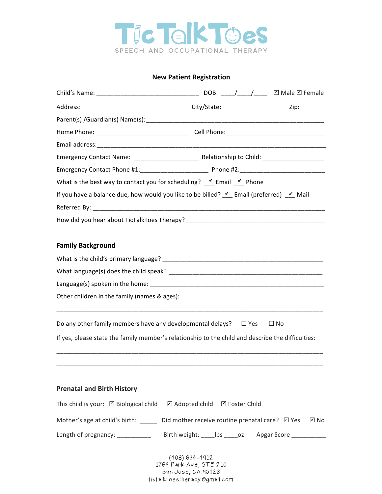

### **New Patient Registration**

| What is the best way to contact you for scheduling? $\checkmark$ Email $\checkmark$ Phone         |  |           |
|---------------------------------------------------------------------------------------------------|--|-----------|
| If you have a balance due, how would you like to be billed? $\vee$ Email (preferred) $\vee$ Mail  |  |           |
|                                                                                                   |  |           |
|                                                                                                   |  |           |
|                                                                                                   |  |           |
| <b>Family Background</b>                                                                          |  |           |
|                                                                                                   |  |           |
|                                                                                                   |  |           |
|                                                                                                   |  |           |
| Other children in the family (names & ages):                                                      |  |           |
| Do any other family members have any developmental delays? $\square$ Yes                          |  | $\Box$ No |
| If yes, please state the family member's relationship to the child and describe the difficulties: |  |           |
|                                                                                                   |  |           |
|                                                                                                   |  |           |
| <b>Prenatal and Birth History</b>                                                                 |  |           |

# This child is your:  $\Box$  Biological child  $\Box$  Adopted child  $\Box$  Foster Child

Mother's age at child's birth: \_\_\_\_\_ Did mother receive routine prenatal care?  $\Box$  Yes  $\Box$  No

Length of pregnancy: \_\_\_\_\_\_\_\_\_\_\_ Birth weight: \_\_\_\_lbs \_\_\_\_oz Apgar Score \_\_\_\_\_\_\_\_\_\_\_

(408) 634-4912 1769 Park Ave, STE 210 San Jose, CA 95126 tictalktoestherapy@gmail.com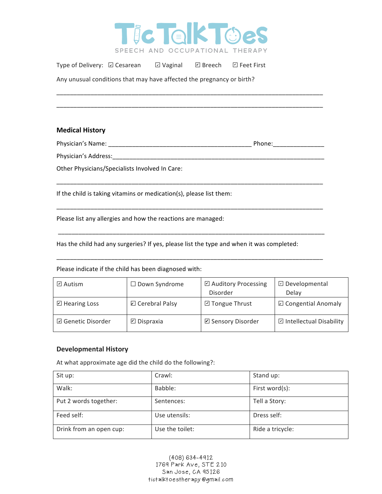

Type of Delivery: **☑ Cesarean** *☑* **Vaginal** *☑ Breech Ø Feet First* ☑ Vaginal

Any unusual conditions that may have affected the pregnancy or birth?

## **Medical History**

Physician's Name: \_\_\_\_\_\_\_\_\_\_\_\_\_\_\_\_\_\_\_\_\_\_\_\_\_\_\_\_\_\_\_\_\_\_\_\_\_\_\_\_\_\_ Phone:\_\_\_\_\_\_\_\_\_\_\_\_\_\_\_

\_\_\_\_\_\_\_\_\_\_\_\_\_\_\_\_\_\_\_\_\_\_\_\_\_\_\_\_\_\_\_\_\_\_\_\_\_\_\_\_\_\_\_\_\_\_\_\_\_\_\_\_\_\_\_\_\_\_\_\_\_\_\_\_\_\_\_\_\_\_\_\_\_\_\_\_\_\_

\_\_\_\_\_\_\_\_\_\_\_\_\_\_\_\_\_\_\_\_\_\_\_\_\_\_\_\_\_\_\_\_\_\_\_\_\_\_\_\_\_\_\_\_\_\_\_\_\_\_\_\_\_\_\_\_\_\_\_\_\_\_\_\_\_\_\_\_\_\_\_\_\_\_\_\_\_\_ 

\_\_\_\_\_\_\_\_\_\_\_\_\_\_\_\_\_\_\_\_\_\_\_\_\_\_\_\_\_\_\_\_\_\_\_\_\_\_\_\_\_\_\_\_\_\_\_\_\_\_\_\_\_\_\_\_\_\_\_\_\_\_\_\_\_\_\_\_\_\_\_\_\_\_\_\_\_\_ 

\_\_\_\_\_\_\_\_\_\_\_\_\_\_\_\_\_\_\_\_\_\_\_\_\_\_\_\_\_\_\_\_\_\_\_\_\_\_\_\_\_\_\_\_\_\_\_\_\_\_\_\_\_\_\_\_\_\_\_\_\_\_\_\_\_\_\_\_\_\_\_\_\_\_\_\_\_\_ 

\_\_\_\_\_\_\_\_\_\_\_\_\_\_\_\_\_\_\_\_\_\_\_\_\_\_\_\_\_\_\_\_\_\_\_\_\_\_\_\_\_\_\_\_\_\_\_\_\_\_\_\_\_\_\_\_\_\_\_\_\_\_\_\_\_\_\_\_\_\_\_\_\_\_\_\_\_\_

\_\_\_\_\_\_\_\_\_\_\_\_\_\_\_\_\_\_\_\_\_\_\_\_\_\_\_\_\_\_\_\_\_\_\_\_\_\_\_\_\_\_\_\_\_\_\_\_\_\_\_\_\_\_\_\_\_\_\_\_\_\_\_\_\_\_\_\_\_\_\_\_\_\_\_\_\_\_

Physician's Address:

Other Physicians/Specialists Involved In Care:

If the child is taking vitamins or medication(s), please list them:

Please list any allergies and how the reactions are managed:

Has the child had any surgeries? If yes, please list the type and when it was completed:

Please indicate if the child has been diagnosed with:

| $\boxdot$ Autism       | $\Box$ Down Syndrome    | ☑ Auditory Processing<br>Disorder | $\boxdot$ Developmental<br>Delay |
|------------------------|-------------------------|-----------------------------------|----------------------------------|
| $\boxdot$ Hearing Loss | <b>☑</b> Cerebral Palsy | □ Tongue Thrust                   | $\boxdot$ Congential Anomaly     |
| □ Genetic Disorder     | $\boxdot$ Dispraxia     | ☑ Sensory Disorder                | □ Intellectual Disability        |

## **Developmental History**

At what approximate age did the child do the following?:

| Sit up:                 | Crawl:          | Stand up:        |
|-------------------------|-----------------|------------------|
| Walk:                   | Babble:         | First word(s):   |
| Put 2 words together:   | Sentences:      | Tell a Story:    |
| Feed self:              | Use utensils:   | Dress self:      |
| Drink from an open cup: | Use the toilet: | Ride a tricycle: |

(408) 634-4912 1769 Park Ave, STE 210 San Jose, CA 95126 tictalktoestherapy@gmail.com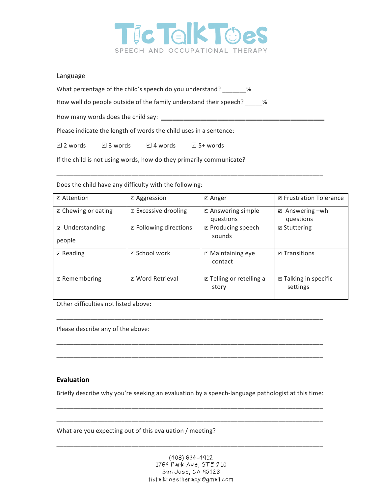

## Language

What percentage of the child's speech do you understand? \_\_\_\_\_\_\_%

How well do people outside of the family understand their speech? \_\_\_\_\_%

How many words does the child say: \_\_\_\_\_\_\_\_\_\_\_\_\_\_\_\_\_\_\_\_\_\_\_\_\_\_\_\_\_

Please indicate the length of words the child uses in a sentence:

**☑ 2** words ☑ 3 words ☑ 4 words *⊡* 5+ words

If the child is not using words, how do they primarily communicate?

Does the child have any difficulty with the following:

| <b>□</b> Attention       | <b>Z</b> Aggression           | <b>⊠</b> Anger                                          | <b>□</b> Frustration Tolerance           |
|--------------------------|-------------------------------|---------------------------------------------------------|------------------------------------------|
| D Chewing or eating      | <b>Ø</b> Excessive drooling   | ■ Answering simple                                      | $\mathbb Z$ Answering $-wh$              |
|                          |                               | questions                                               | questions                                |
| <b>■</b> Understanding   | <b>Z</b> Following directions | <b>Ø</b> Producing speech                               | $\Box$ Stuttering                        |
| people                   |                               | sounds                                                  |                                          |
| $\triangleright$ Reading | <b>P</b> School work          | <b>■ Maintaining eye</b><br>contact                     | <b>P</b> Transitions                     |
| <b>Ø</b> Remembering     | <b>E</b> Word Retrieval       | <b><math>\Xi</math></b> Telling or retelling a<br>story | <b>□</b> Talking in specific<br>settings |

\_\_\_\_\_\_\_\_\_\_\_\_\_\_\_\_\_\_\_\_\_\_\_\_\_\_\_\_\_\_\_\_\_\_\_\_\_\_\_\_\_\_\_\_\_\_\_\_\_\_\_\_\_\_\_\_\_\_\_\_\_\_\_\_\_\_\_\_\_\_\_\_\_\_\_\_\_\_

Other difficulties not listed above:

Please describe any of the above:

#### **Evaluation**

Briefly describe why you're seeking an evaluation by a speech-language pathologist at this time:

\_\_\_\_\_\_\_\_\_\_\_\_\_\_\_\_\_\_\_\_\_\_\_\_\_\_\_\_\_\_\_\_\_\_\_\_\_\_\_\_\_\_\_\_\_\_\_\_\_\_\_\_\_\_\_\_\_\_\_\_\_\_\_\_\_\_\_\_\_\_\_\_\_\_\_\_\_\_ \_\_\_\_\_\_\_\_\_\_\_\_\_\_\_\_\_\_\_\_\_\_\_\_\_\_\_\_\_\_\_\_\_\_\_\_\_\_\_\_\_\_\_\_\_\_\_\_\_\_\_\_\_\_\_\_\_\_\_\_\_\_\_\_\_\_\_\_\_\_\_\_\_\_\_\_\_\_

\_\_\_\_\_\_\_\_\_\_\_\_\_\_\_\_\_\_\_\_\_\_\_\_\_\_\_\_\_\_\_\_\_\_\_\_\_\_\_\_\_\_\_\_\_\_\_\_\_\_\_\_\_\_\_\_\_\_\_\_\_\_\_\_\_\_\_\_\_\_\_\_\_\_\_\_\_\_

\_\_\_\_\_\_\_\_\_\_\_\_\_\_\_\_\_\_\_\_\_\_\_\_\_\_\_\_\_\_\_\_\_\_\_\_\_\_\_\_\_\_\_\_\_\_\_\_\_\_\_\_\_\_\_\_\_\_\_\_\_\_\_\_\_\_\_\_\_\_\_\_\_\_\_\_\_\_

\_\_\_\_\_\_\_\_\_\_\_\_\_\_\_\_\_\_\_\_\_\_\_\_\_\_\_\_\_\_\_\_\_\_\_\_\_\_\_\_\_\_\_\_\_\_\_\_\_\_\_\_\_\_\_\_\_\_\_\_\_\_\_\_\_\_\_\_\_\_\_\_\_\_\_\_\_\_

What are you expecting out of this evaluation / meeting?

\_\_\_\_\_\_\_\_\_\_\_\_\_\_\_\_\_\_\_\_\_\_\_\_\_\_\_\_\_\_\_\_\_\_\_\_\_\_\_\_\_\_\_\_\_\_\_\_\_\_\_\_\_\_\_\_\_\_\_\_\_\_\_\_\_\_\_\_\_\_\_\_\_\_\_\_\_\_